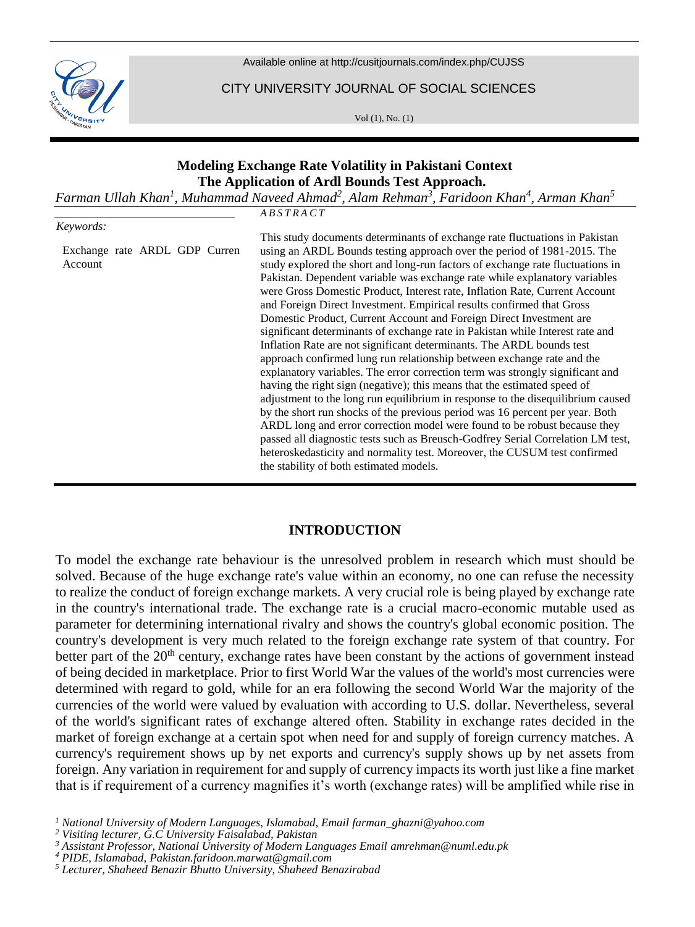

Available online at <http://cusitjournals.com/index.php/CUJSS>

CITY UNIVERSITY JOURNAL OF SOCIAL SCIENCES

Vol (1), No. (1)

### **Modeling Exchange Rate Volatility in Pakistani Context The Application of Ardl Bounds Test Approach.**

*Farman Ullah Khan<sup>1</sup> , Muhammad Naveed Ahmad<sup>2</sup> , Alam Rehman<sup>3</sup> , Faridoon Khan<sup>4</sup> , Arman Khan<sup>5</sup>*

|                               | <i>ABSTRACT</i>                                                                 |
|-------------------------------|---------------------------------------------------------------------------------|
| Keywords:                     |                                                                                 |
|                               | This study documents determinants of exchange rate fluctuations in Pakistan     |
| Exchange rate ARDL GDP Curren | using an ARDL Bounds testing approach over the period of 1981-2015. The         |
| Account                       | study explored the short and long-run factors of exchange rate fluctuations in  |
|                               | Pakistan. Dependent variable was exchange rate while explanatory variables      |
|                               | were Gross Domestic Product, Interest rate, Inflation Rate, Current Account     |
|                               | and Foreign Direct Investment. Empirical results confirmed that Gross           |
|                               | Domestic Product, Current Account and Foreign Direct Investment are             |
|                               | significant determinants of exchange rate in Pakistan while Interest rate and   |
|                               | Inflation Rate are not significant determinants. The ARDL bounds test           |
|                               | approach confirmed lung run relationship between exchange rate and the          |
|                               | explanatory variables. The error correction term was strongly significant and   |
|                               | having the right sign (negative); this means that the estimated speed of        |
|                               | adjustment to the long run equilibrium in response to the disequilibrium caused |
|                               | by the short run shocks of the previous period was 16 percent per year. Both    |
|                               | ARDL long and error correction model were found to be robust because they       |
|                               | passed all diagnostic tests such as Breusch-Godfrey Serial Correlation LM test, |
|                               | heteroskedasticity and normality test. Moreover, the CUSUM test confirmed       |
|                               | the stability of both estimated models.                                         |
|                               |                                                                                 |

#### **INTRODUCTION**

To model the exchange rate behaviour is the unresolved problem in research which must should be solved. Because of the huge exchange rate's value within an economy, no one can refuse the necessity to realize the conduct of foreign exchange markets. A very crucial role is being played by exchange rate in the country's international trade. The exchange rate is a crucial macro-economic mutable used as parameter for determining international rivalry and shows the country's global economic position. The country's development is very much related to the foreign exchange rate system of that country. For better part of the 20<sup>th</sup> century, exchange rates have been constant by the actions of government instead of being decided in marketplace. Prior to first World War the values of the world's most currencies were determined with regard to gold, while for an era following the second World War the majority of the currencies of the world were valued by evaluation with according to U.S. dollar. Nevertheless, several of the world's significant rates of exchange altered often. Stability in exchange rates decided in the market of foreign exchange at a certain spot when need for and supply of foreign currency matches. A currency's requirement shows up by net exports and currency's supply shows up by net assets from foreign. Any variation in requirement for and supply of currency impacts its worth just like a fine market that is if requirement of a currency magnifies it's worth (exchange rates) will be amplified while rise in

*<sup>1</sup> National University of Modern Languages, Islamabad, Emai[l farman\\_ghazni@yahoo.com](mailto:farman_ghazni@yahoo.com)*

*<sup>2</sup> Visiting lecturer, G.C University Faisalabad, Pakistan*

*<sup>3</sup> Assistant Professor, National University of Modern Languages Email [amrehman@numl.edu.pk](mailto:amrehman@numl.edu.pk)*

*<sup>4</sup> PIDE, Islamabad, [Pakistan.faridoon.marwat@gmail.com](mailto:Pakistan.faridoon.marwat@gmail.com)*

*<sup>5</sup> Lecturer, Shaheed Benazir Bhutto University, Shaheed Benazirabad*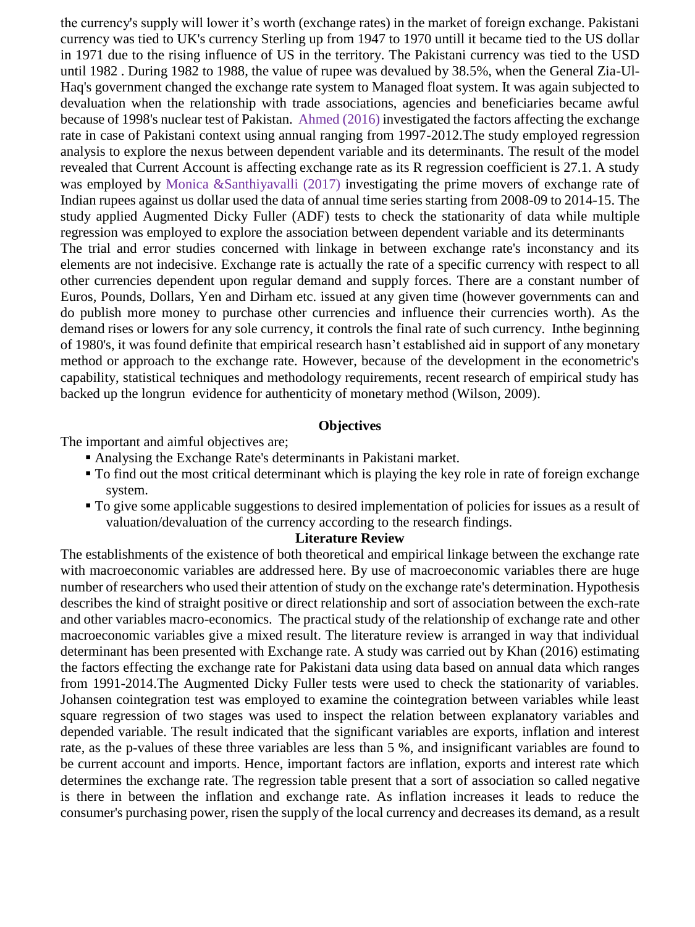the currency's supply will lower it's worth (exchange rates) in the market of foreign exchange. Pakistani currency was tied to UK's currency Sterling up from 1947 to 1970 untill it became tied to the US dollar in 1971 due to the rising influence of US in the territory. The Pakistani currency was tied to the USD until 1982 . During 1982 to 1988, the value of rupee was devalued by 38.5%, when the General Zia-Ul-Haq's government changed the exchange rate system to Managed float system. It was again subjected to devaluation when the relationship with trade associations, agencies and beneficiaries became awful because of 1998's nuclear test of Pakistan. Ahmed (2016) investigated the factors affecting the exchange rate in case of Pakistani context using annual ranging from 1997-2012.The study employed regression analysis to explore the nexus between dependent variable and its determinants. The result of the model revealed that Current Account is affecting exchange rate as its R regression coefficient is 27.1. A study was employed by Monica &Santhiyavalli (2017) investigating the prime movers of exchange rate of Indian rupees against us dollar used the data of annual time series starting from 2008-09 to 2014-15. The study applied Augmented Dicky Fuller (ADF) tests to check the stationarity of data while multiple regression was employed to explore the association between dependent variable and its determinants The trial and error studies concerned with linkage in between exchange rate's inconstancy and its elements are not indecisive. Exchange rate is actually the rate of a specific currency with respect to all other currencies dependent upon regular demand and supply forces. There are a constant number of Euros, Pounds, Dollars, Yen and Dirham etc. issued at any given time (however governments can and do publish more money to purchase other currencies and influence their currencies worth). As the demand rises or lowers for any sole currency, it controls the final rate of such currency. Inthe beginning of 1980's, it was found definite that empirical research hasn't established aid in support of any monetary method or approach to the exchange rate. However, because of the development in the econometric's capability, statistical techniques and methodology requirements, recent research of empirical study has backed up the longrun evidence for authenticity of monetary method (Wilson, 2009).

#### **Objectives**

The important and aimful objectives are;

- Analysing the Exchange Rate's determinants in Pakistani market.
- To find out the most critical determinant which is playing the key role in rate of foreign exchange system.
- To give some applicable suggestions to desired implementation of policies for issues as a result of valuation/devaluation of the currency according to the research findings.

#### **Literature Review**

The establishments of the existence of both theoretical and empirical linkage between the exchange rate with macroeconomic variables are addressed here. By use of macroeconomic variables there are huge number of researchers who used their attention of study on the exchange rate's determination. Hypothesis describes the kind of straight positive or direct relationship and sort of association between the exch-rate and other variables macro-economics. The practical study of the relationship of exchange rate and other macroeconomic variables give a mixed result. The literature review is arranged in way that individual determinant has been presented with Exchange rate. A study was carried out by Khan (2016) estimating the factors effecting the exchange rate for Pakistani data using data based on annual data which ranges from 1991-2014.The Augmented Dicky Fuller tests were used to check the stationarity of variables. Johansen cointegration test was employed to examine the cointegration between variables while least square regression of two stages was used to inspect the relation between explanatory variables and depended variable. The result indicated that the significant variables are exports, inflation and interest rate, as the p-values of these three variables are less than 5 %, and insignificant variables are found to be current account and imports. Hence, important factors are inflation, exports and interest rate which determines the exchange rate. The regression table present that a sort of association so called negative is there in between the inflation and exchange rate. As inflation increases it leads to reduce the consumer's purchasing power, risen the supply of the local currency and decreases its demand, as a result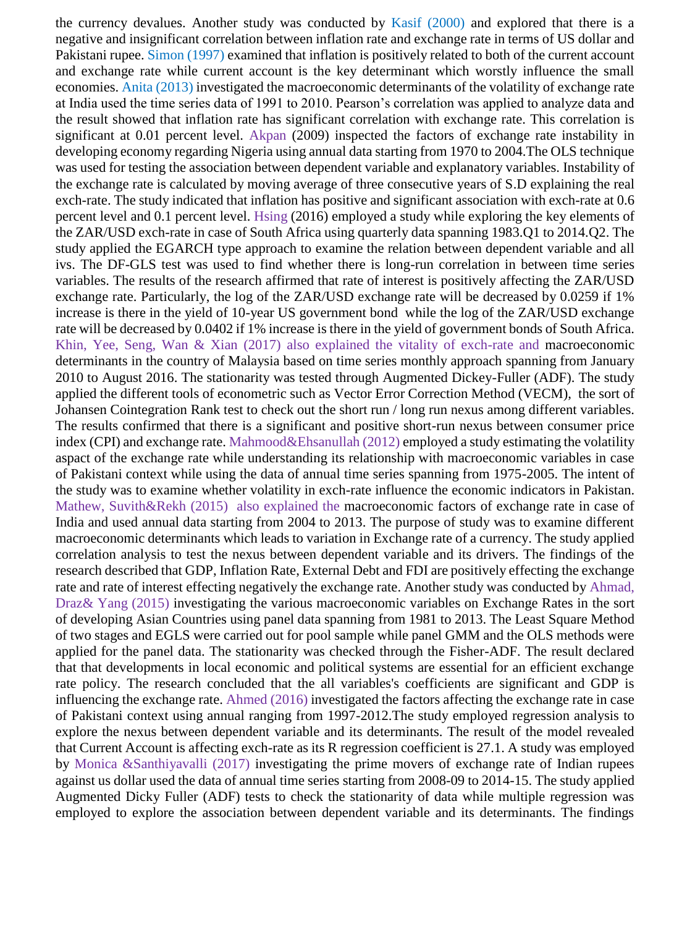the currency devalues. Another study was conducted by Kasif (2000) and explored that there is a negative and insignificant correlation between inflation rate and exchange rate in terms of US dollar and Pakistani rupee. Simon (1997) examined that inflation is positively related to both of the current account and exchange rate while current account is the key determinant which worstly influence the small economies. Anita (2013) investigated the macroeconomic determinants of the volatility of exchange rate at India used the time series data of 1991 to 2010. Pearson's correlation was applied to analyze data and the result showed that inflation rate has significant correlation with exchange rate. This correlation is significant at 0.01 percent level. Akpan (2009) inspected the factors of exchange rate instability in developing economy regarding Nigeria using annual data starting from 1970 to 2004.The OLS technique was used for testing the association between dependent variable and explanatory variables. Instability of the exchange rate is calculated by moving average of three consecutive years of S.D explaining the real exch-rate. The study indicated that inflation has positive and significant association with exch-rate at 0.6 percent level and 0.1 percent level. Hsing (2016) employed a study while exploring the key elements of the ZAR/USD exch-rate in case of South Africa using quarterly data spanning 1983.Q1 to 2014.Q2. The study applied the EGARCH type approach to examine the relation between dependent variable and all ivs. The DF-GLS test was used to find whether there is long-run correlation in between time series variables. The results of the research affirmed that rate of interest is positively affecting the ZAR/USD exchange rate. Particularly, the log of the ZAR/USD exchange rate will be decreased by 0.0259 if 1% increase is there in the yield of 10-year US government bond while the log of the ZAR/USD exchange rate will be decreased by 0.0402 if 1% increase is there in the yield of government bonds of South Africa. Khin, Yee, Seng, Wan & Xian (2017) also explained the vitality of exch-rate and macroeconomic determinants in the country of Malaysia based on time series monthly approach spanning from January 2010 to August 2016. The stationarity was tested through Augmented Dickey-Fuller (ADF). The study applied the different tools of econometric such as Vector Error Correction Method (VECM), the sort of Johansen Cointegration Rank test to check out the short run / long run nexus among different variables. The results confirmed that there is a significant and positive short-run nexus between consumer price index (CPI) and exchange rate. Mahmood&Ehsanullah (2012) employed a study estimating the volatility aspact of the exchange rate while understanding its relationship with macroeconomic variables in case of Pakistani context while using the data of annual time series spanning from 1975-2005. The intent of the study was to examine whether volatility in exch-rate influence the economic indicators in Pakistan. Mathew, Suvith&Rekh (2015) also explained the macroeconomic factors of exchange rate in case of India and used annual data starting from 2004 to 2013. The purpose of study was to examine different macroeconomic determinants which leads to variation in Exchange rate of a currency. The study applied correlation analysis to test the nexus between dependent variable and its drivers. The findings of the research described that GDP, Inflation Rate, External Debt and FDI are positively effecting the exchange rate and rate of interest effecting negatively the exchange rate. Another study was conducted by Ahmad, Draz& Yang (2015) investigating the various macroeconomic variables on Exchange Rates in the sort of developing Asian Countries using panel data spanning from 1981 to 2013. The Least Square Method of two stages and EGLS were carried out for pool sample while panel GMM and the OLS methods were applied for the panel data. The stationarity was checked through the Fisher-ADF. The result declared that that developments in local economic and political systems are essential for an efficient exchange rate policy. The research concluded that the all variables's coefficients are significant and GDP is influencing the exchange rate. Ahmed (2016) investigated the factors affecting the exchange rate in case of Pakistani context using annual ranging from 1997-2012.The study employed regression analysis to explore the nexus between dependent variable and its determinants. The result of the model revealed that Current Account is affecting exch-rate as its R regression coefficient is 27.1. A study was employed by Monica &Santhiyavalli (2017) investigating the prime movers of exchange rate of Indian rupees against us dollar used the data of annual time series starting from 2008-09 to 2014-15. The study applied Augmented Dicky Fuller (ADF) tests to check the stationarity of data while multiple regression was employed to explore the association between dependent variable and its determinants. The findings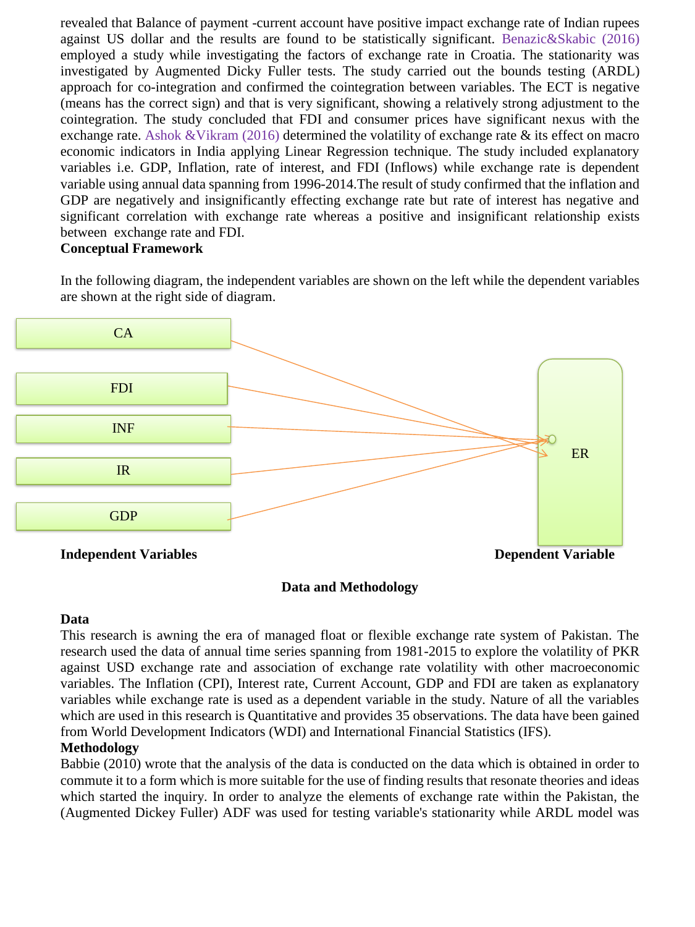revealed that Balance of payment -current account have positive impact exchange rate of Indian rupees against US dollar and the results are found to be statistically significant. Benazic&Skabic (2016) employed a study while investigating the factors of exchange rate in Croatia. The stationarity was investigated by Augmented Dicky Fuller tests. The study carried out the bounds testing (ARDL) approach for co-integration and confirmed the cointegration between variables. The ECT is negative (means has the correct sign) and that is very significant, showing a relatively strong adjustment to the cointegration. The study concluded that FDI and consumer prices have significant nexus with the exchange rate. Ashok & Vikram (2016) determined the volatility of exchange rate & its effect on macro economic indicators in India applying Linear Regression technique. The study included explanatory variables i.e. GDP, Inflation, rate of interest, and FDI (Inflows) while exchange rate is dependent variable using annual data spanning from 1996-2014.The result of study confirmed that the inflation and GDP are negatively and insignificantly effecting exchange rate but rate of interest has negative and significant correlation with exchange rate whereas a positive and insignificant relationship exists between exchange rate and FDI.

#### **Conceptual Framework**

In the following diagram, the independent variables are shown on the left while the dependent variables are shown at the right side of diagram.



#### **Data and Methodology**

#### **Data**

This research is awning the era of managed float or flexible exchange rate system of Pakistan. The research used the data of annual time series spanning from 1981-2015 to explore the volatility of PKR against USD exchange rate and association of exchange rate volatility with other macroeconomic variables. The Inflation (CPI), Interest rate, Current Account, GDP and FDI are taken as explanatory variables while exchange rate is used as a dependent variable in the study. Nature of all the variables which are used in this research is Quantitative and provides 35 observations. The data have been gained from World Development Indicators (WDI) and International Financial Statistics (IFS).

### **Methodology**

Babbie (2010) wrote that the analysis of the data is conducted on the data which is obtained in order to commute it to a form which is more suitable for the use of finding results that resonate theories and ideas which started the inquiry. In order to analyze the elements of exchange rate within the Pakistan, the (Augmented Dickey Fuller) ADF was used for testing variable's stationarity while ARDL model was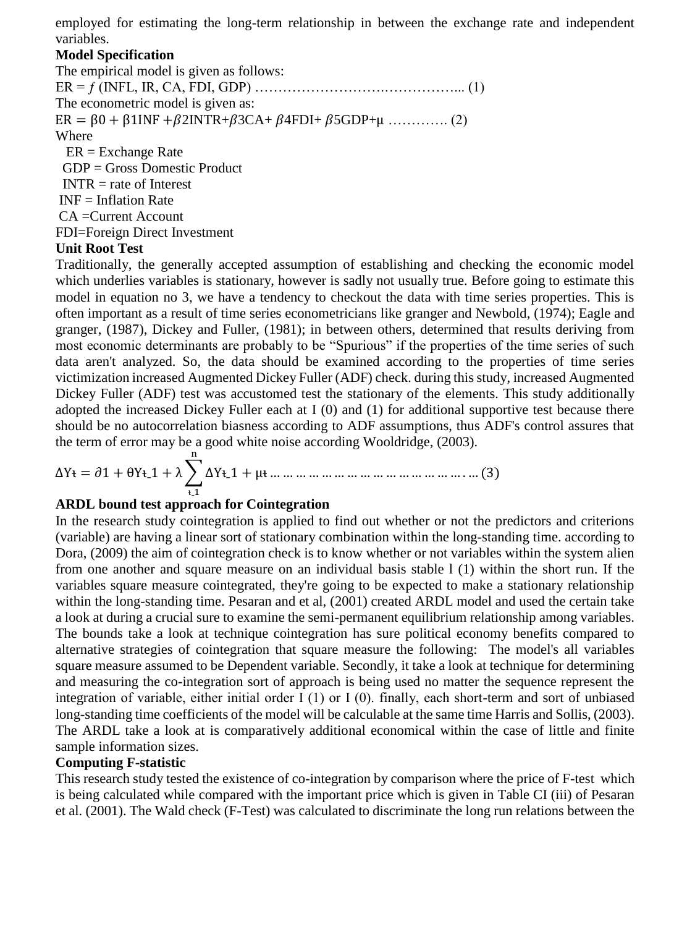employed for estimating the long-term relationship in between the exchange rate and independent variables.

#### **Model Specification**

The empirical model is given as follows: ER = ƒ (INFL, IR, CA, FDI, GDP) ……………………….……………... (1) The econometric model is given as: ER = β0 + β1INF +2INTR+3CA+ 4FDI+ 5GDP+μ …………. (2) Where ER = Exchange Rate GDP = Gross Domestic Product  $INTR = rate of Interest$  $INF = Inflation Rate$ CA =Current Account FDI=Foreign Direct Investment

## **Unit Root Test**

Traditionally, the generally accepted assumption of establishing and checking the economic model which underlies variables is stationary, however is sadly not usually true. Before going to estimate this model in equation no 3, we have a tendency to checkout the data with time series properties. This is often important as a result of time series econometricians like granger and Newbold, (1974); Eagle and granger, (1987), Dickey and Fuller, (1981); in between others, determined that results deriving from most economic determinants are probably to be "Spurious" if the properties of the time series of such data aren't analyzed. So, the data should be examined according to the properties of time series victimization increased Augmented Dickey Fuller (ADF) check. during this study, increased Augmented Dickey Fuller (ADF) test was accustomed test the stationary of the elements. This study additionally adopted the increased Dickey Fuller each at I (0) and (1) for additional supportive test because there should be no autocorrelation biasness according to ADF assumptions, thus ADF's control assures that the term of error may be a good white noise according Wooldridge, (2003).

ΔYᵼ = ∂1 + θYᵼˍ1 + λ∑ΔYᵼˍ1 + μᵼ … … … … … … … … … … … … … … … . … (3) n ᵼˍ1

#### **ARDL bound test approach for Cointegration**

In the research study cointegration is applied to find out whether or not the predictors and criterions (variable) are having a linear sort of stationary combination within the long-standing time. according to Dora, (2009) the aim of cointegration check is to know whether or not variables within the system alien from one another and square measure on an individual basis stable l (1) within the short run. If the variables square measure cointegrated, they're going to be expected to make a stationary relationship within the long-standing time. Pesaran and et al, (2001) created ARDL model and used the certain take a look at during a crucial sure to examine the semi-permanent equilibrium relationship among variables. The bounds take a look at technique cointegration has sure political economy benefits compared to alternative strategies of cointegration that square measure the following: The model's all variables square measure assumed to be Dependent variable. Secondly, it take a look at technique for determining and measuring the co-integration sort of approach is being used no matter the sequence represent the integration of variable, either initial order Ι (1) or Ι (0). finally, each short-term and sort of unbiased long-standing time coefficients of the model will be calculable at the same time Harris and Sollis, (2003). The ARDL take a look at is comparatively additional economical within the case of little and finite sample information sizes.

#### **Computing F-statistic**

This research study tested the existence of co-integration by comparison where the price of F-test which is being calculated while compared with the important price which is given in Table CI (iii) of Pesaran et al. (2001). The Wald check (F-Test) was calculated to discriminate the long run relations between the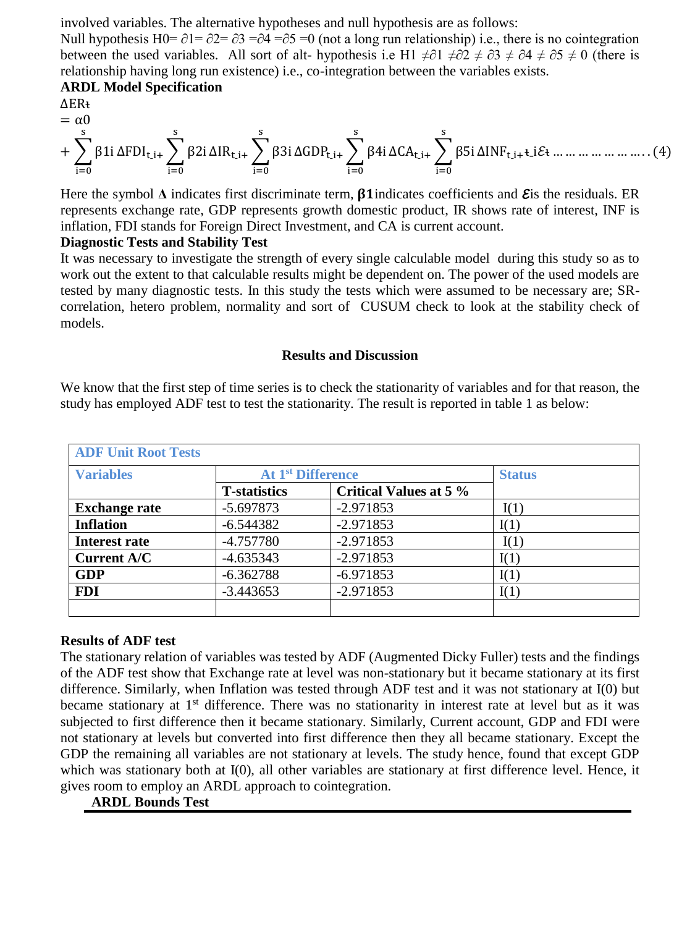involved variables. The alternative hypotheses and null hypothesis are as follows:

Null hypothesis H0=  $\partial$ 1=  $\partial$ 2=  $\partial$ 3 = $\partial$ 4 = $\partial$ 5 =0 (not a long run relationship) i.e., there is no cointegration between the used variables. All sort of alt- hypothesis i.e H1 ≠∂1 ≠∂2 ≠ ∂3 ≠ ∂4 ≠ ∂5 ≠ 0 (there is relationship having long run existence) i.e., co-integration between the variables exists.

### **ARDL Model Specification**

$$
\Delta ER_t
$$
  
=  $\alpha_0$   
+  $\sum_{i=0}^{s} \beta 1i \Delta FDI_{t,i+} \sum_{i=0}^{s} \beta 2i \Delta IR_{t,i+} \sum_{i=0}^{s} \beta 3i \Delta GDP_{t,i+} \sum_{i=0}^{s} \beta 4i \Delta CA_{t,i+} \sum_{i=0}^{s} \beta 5i \Delta INF_{t,i+} t \Delta \xi t ...$ ................. (4)

Here the symbol  $\Delta$  indicates first discriminate term, **β**1 indicates coefficients and **E** is the residuals. ER represents exchange rate, GDP represents growth domestic product, IR shows rate of interest, INF is inflation, FDI stands for Foreign Direct Investment, and CA is current account.

#### **Diagnostic Tests and Stability Test**

It was necessary to investigate the strength of every single calculable model during this study so as to work out the extent to that calculable results might be dependent on. The power of the used models are tested by many diagnostic tests. In this study the tests which were assumed to be necessary are; SRcorrelation, hetero problem, normality and sort of CUSUM check to look at the stability check of models.

#### **Results and Discussion**

| <b>Variables</b>     |                      | At 1 <sup>st</sup> Difference |      |
|----------------------|----------------------|-------------------------------|------|
|                      | <b>T</b> -statistics | <b>Critical Values at 5 %</b> |      |
| <b>Exchange rate</b> | $-5.697873$          | $-2.971853$                   | I(1) |
| <b>Inflation</b>     | $-6.544382$          | $-2.971853$                   | I(1) |
| <b>Interest rate</b> | $-4.757780$          | $-2.971853$                   | I(1) |
| <b>Current A/C</b>   | $-4.635343$          | $-2.971853$                   | I(1) |
| <b>GDP</b>           | $-6.362788$          | $-6.971853$                   | I(1) |
| <b>FDI</b>           | $-3.443653$          | $-2.971853$                   | I(1) |
|                      |                      |                               |      |

We know that the first step of time series is to check the stationarity of variables and for that reason, the study has employed ADF test to test the stationarity. The result is reported in table 1 as below:

#### **Results of ADF test**

The stationary relation of variables was tested by ADF (Augmented Dicky Fuller) tests and the findings of the ADF test show that Exchange rate at level was non-stationary but it became stationary at its first difference. Similarly, when Inflation was tested through ADF test and it was not stationary at I(0) but became stationary at  $1<sup>st</sup>$  difference. There was no stationarity in interest rate at level but as it was subjected to first difference then it became stationary. Similarly, Current account, GDP and FDI were not stationary at levels but converted into first difference then they all became stationary. Except the GDP the remaining all variables are not stationary at levels. The study hence, found that except GDP which was stationary both at I(0), all other variables are stationary at first difference level. Hence, it gives room to employ an ARDL approach to cointegration.

### **ARDL Bounds Test**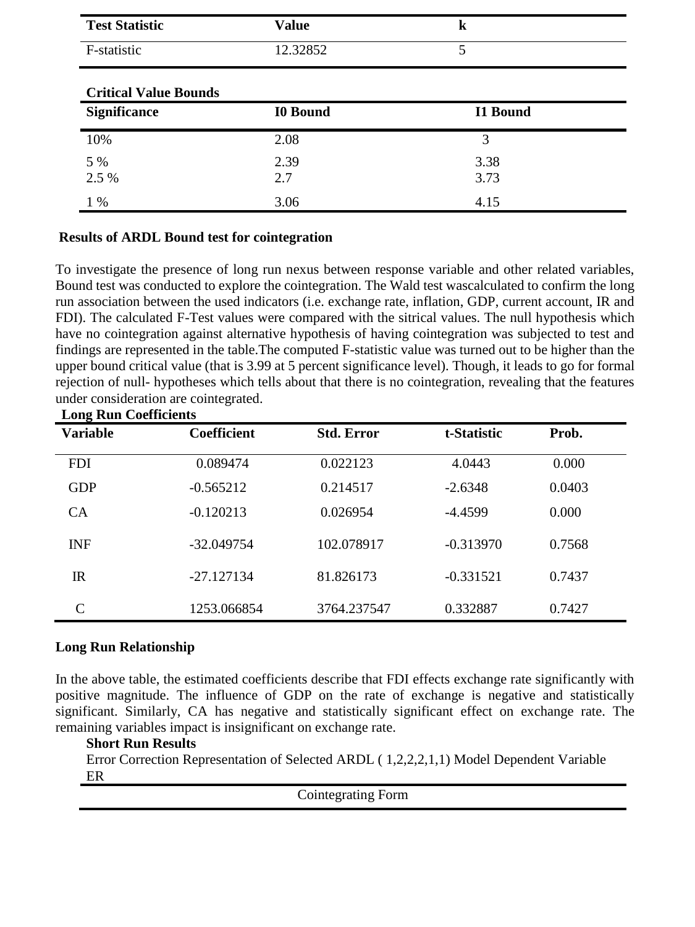| <b>Test Statistic</b>        | <b>Value</b>    | k               |  |
|------------------------------|-----------------|-----------------|--|
| F-statistic                  | 12.32852        | 5               |  |
| <b>Critical Value Bounds</b> |                 |                 |  |
| <b>Significance</b>          | <b>I0 Bound</b> | <b>I1 Bound</b> |  |
| 10%                          | 2.08            | 3               |  |
| 5 %<br>2.5 %                 | 2.39<br>2.7     | 3.38<br>3.73    |  |
| $1\%$                        | 3.06            | 4.15            |  |

### **Results of ARDL Bound test for cointegration**

To investigate the presence of long run nexus between response variable and other related variables, Bound test was conducted to explore the cointegration. The Wald test wascalculated to confirm the long run association between the used indicators (i.e. exchange rate, inflation, GDP, current account, IR and FDI). The calculated F-Test values were compared with the sitrical values. The null hypothesis which have no cointegration against alternative hypothesis of having cointegration was subjected to test and findings are represented in the table.The computed F-statistic value was turned out to be higher than the upper bound critical value (that is 3.99 at 5 percent significance level). Though, it leads to go for formal rejection of null- hypotheses which tells about that there is no cointegration, revealing that the features under consideration are cointegrated.

| LUIL NUIL COUNTILENTS |                    |                   |             |        |  |
|-----------------------|--------------------|-------------------|-------------|--------|--|
| <b>Variable</b>       | <b>Coefficient</b> | <b>Std. Error</b> | t-Statistic | Prob.  |  |
| <b>FDI</b>            | 0.089474           | 0.022123          | 4.0443      | 0.000  |  |
| <b>GDP</b>            | $-0.565212$        | 0.214517          | $-2.6348$   | 0.0403 |  |
| CA                    | $-0.120213$        | 0.026954          | $-4.4599$   | 0.000  |  |
| <b>INF</b>            | $-32.049754$       | 102.078917        | $-0.313970$ | 0.7568 |  |
| $_{\rm IR}$           | $-27.127134$       | 81.826173         | $-0.331521$ | 0.7437 |  |
| C                     | 1253.066854        | 3764.237547       | 0.332887    | 0.7427 |  |

# Long **Pun** Coefficients

### **Long Run Relationship**

In the above table, the estimated coefficients describe that FDI effects exchange rate significantly with positive magnitude. The influence of GDP on the rate of exchange is negative and statistically significant. Similarly, CA has negative and statistically significant effect on exchange rate. The remaining variables impact is insignificant on exchange rate.

### **Short Run Results**

Error Correction Representation of Selected ARDL ( 1,2,2,2,1,1) Model Dependent Variable ER

Cointegrating Form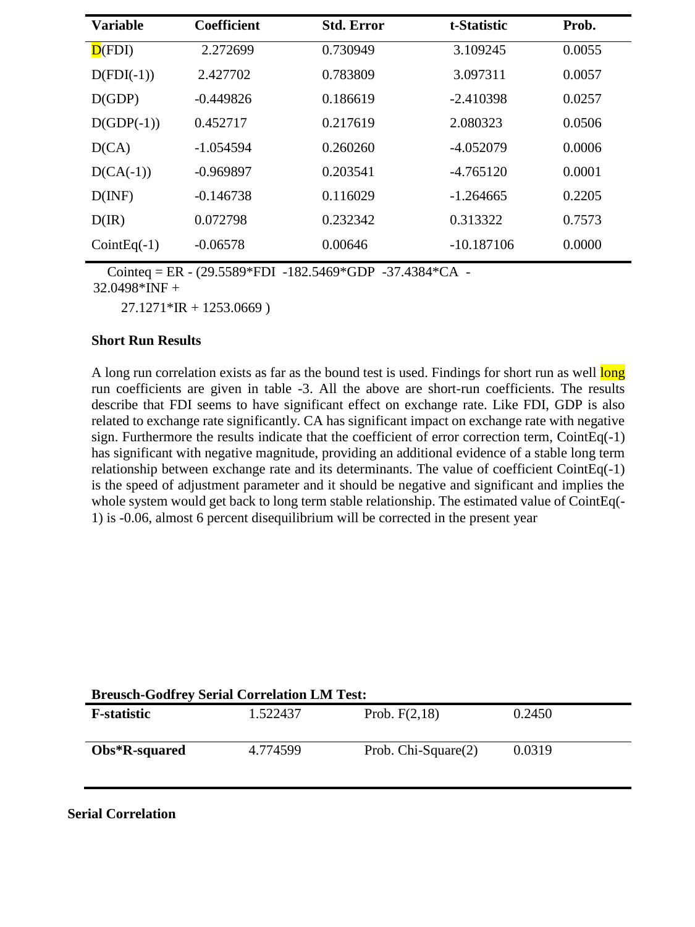| <b>Variable</b>  | <b>Coefficient</b> | <b>Std. Error</b> | t-Statistic  | Prob.  |
|------------------|--------------------|-------------------|--------------|--------|
| D(FDI)           | 2.272699           | 0.730949          | 3.109245     | 0.0055 |
| $D(FDI(-1))$     | 2.427702           | 0.783809          | 3.097311     | 0.0057 |
| D(GDP)           | $-0.449826$        | 0.186619          | $-2.410398$  | 0.0257 |
| $D(GDP(-1))$     | 0.452717           | 0.217619          | 2.080323     | 0.0506 |
| D(CA)            | $-1.054594$        | 0.260260          | $-4.052079$  | 0.0006 |
| $D(CA(-1))$      | $-0.969897$        | 0.203541          | $-4.765120$  | 0.0001 |
| D(INF)           | $-0.146738$        | 0.116029          | $-1.264665$  | 0.2205 |
| $D(\mathrm{IR})$ | 0.072798           | 0.232342          | 0.313322     | 0.7573 |
| $CointEq(-1)$    | $-0.06578$         | 0.00646           | $-10.187106$ | 0.0000 |

Cointeq = ER - (29.5589\*FDI -182.5469\*GDP -37.4384\*CA -

32.0498\*INF +

 $27.1271*IR + 1253.0669$ )

#### **Short Run Results**

A long run correlation exists as far as the bound test is used. Findings for short run as well long run coefficients are given in table -3. All the above are short-run coefficients. The results describe that FDI seems to have significant effect on exchange rate. Like FDI, GDP is also related to exchange rate significantly. CA has significant impact on exchange rate with negative sign. Furthermore the results indicate that the coefficient of error correction term, CointEq(-1) has significant with negative magnitude, providing an additional evidence of a stable long term relationship between exchange rate and its determinants. The value of coefficient CointEq(-1) is the speed of adjustment parameter and it should be negative and significant and implies the whole system would get back to long term stable relationship. The estimated value of CointEq(- 1) is -0.06, almost 6 percent disequilibrium will be corrected in the present year

| <b>Breusch-Godfrey Serial Correlation LM Test:</b> |          |                     |        |  |
|----------------------------------------------------|----------|---------------------|--------|--|
| <b>F</b> -statistic                                | 1.522437 | Prob. $F(2,18)$     | 0.2450 |  |
| Obs*R-squared                                      | 4.774599 | Prob. Chi-Square(2) | 0.0319 |  |

#### **Serial Correlation**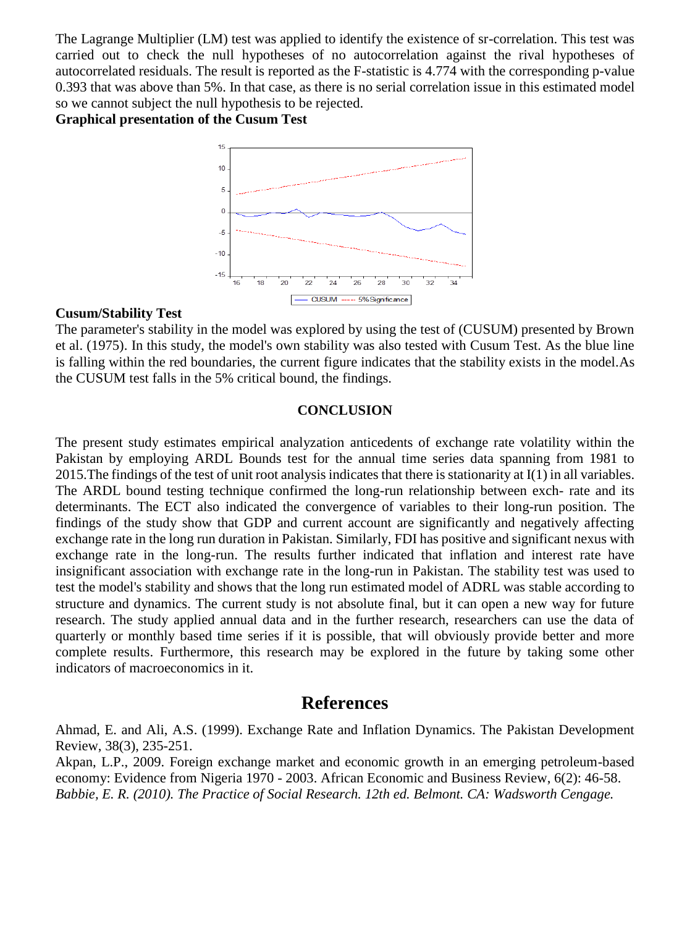The Lagrange Multiplier (LM) test was applied to identify the existence of sr-correlation. This test was carried out to check the null hypotheses of no autocorrelation against the rival hypotheses of autocorrelated residuals. The result is reported as the F-statistic is 4.774 with the corresponding p-value 0.393 that was above than 5%. In that case, as there is no serial correlation issue in this estimated model so we cannot subject the null hypothesis to be rejected.

#### **Graphical presentation of the Cusum Test**



#### **Cusum/Stability Test**

The parameter's stability in the model was explored by using the test of (CUSUM) presented by Brown et al. (1975). In this study, the model's own stability was also tested with Cusum Test. As the blue line is falling within the red boundaries, the current figure indicates that the stability exists in the model.As the CUSUM test falls in the 5% critical bound, the findings.

#### **CONCLUSION**

The present study estimates empirical analyzation anticedents of exchange rate volatility within the Pakistan by employing ARDL Bounds test for the annual time series data spanning from 1981 to 2015.The findings of the test of unit root analysis indicates that there is stationarity at I(1) in all variables. The ARDL bound testing technique confirmed the long-run relationship between exch- rate and its determinants. The ECT also indicated the convergence of variables to their long-run position. The findings of the study show that GDP and current account are significantly and negatively affecting exchange rate in the long run duration in Pakistan. Similarly, FDI has positive and significant nexus with exchange rate in the long-run. The results further indicated that inflation and interest rate have insignificant association with exchange rate in the long-run in Pakistan. The stability test was used to test the model's stability and shows that the long run estimated model of ADRL was stable according to structure and dynamics. The current study is not absolute final, but it can open a new way for future research. The study applied annual data and in the further research, researchers can use the data of quarterly or monthly based time series if it is possible, that will obviously provide better and more complete results. Furthermore, this research may be explored in the future by taking some other indicators of macroeconomics in it.

# **References**

Ahmad, E. and Ali, A.S. (1999). Exchange Rate and Inflation Dynamics. The Pakistan Development Review, 38(3), 235-251.

Akpan, L.P., 2009. Foreign exchange market and economic growth in an emerging petroleum-based economy: Evidence from Nigeria 1970 - 2003. African Economic and Business Review, 6(2): 46-58. *Babbie, E. R. (2010). The Practice of Social Research. 12th ed. Belmont. CA: Wadsworth Cengage.*